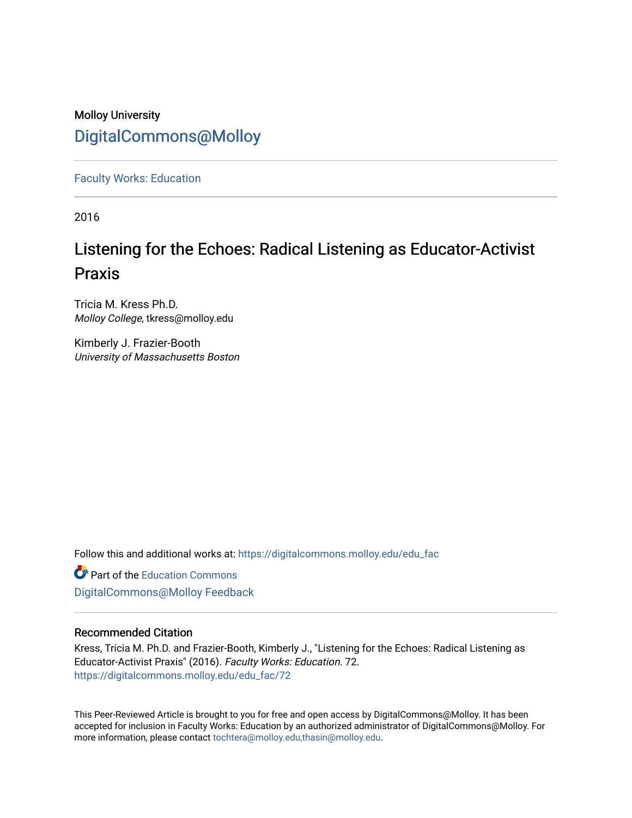# Molloy University [DigitalCommons@Molloy](https://digitalcommons.molloy.edu/)

[Faculty Works: Education](https://digitalcommons.molloy.edu/edu_fac) 

2016

# Listening for the Echoes: Radical Listening as Educator-Activist Praxis

Tricia M. Kress Ph.D. Molloy College, tkress@molloy.edu

Kimberly J. Frazier-Booth University of Massachusetts Boston

Follow this and additional works at: [https://digitalcommons.molloy.edu/edu\\_fac](https://digitalcommons.molloy.edu/edu_fac?utm_source=digitalcommons.molloy.edu%2Fedu_fac%2F72&utm_medium=PDF&utm_campaign=PDFCoverPages)

**Part of the [Education Commons](https://network.bepress.com/hgg/discipline/784?utm_source=digitalcommons.molloy.edu%2Fedu_fac%2F72&utm_medium=PDF&utm_campaign=PDFCoverPages)** [DigitalCommons@Molloy Feedback](https://molloy.libwizard.com/f/dcfeedback)

#### Recommended Citation

Kress, Tricia M. Ph.D. and Frazier-Booth, Kimberly J., "Listening for the Echoes: Radical Listening as Educator-Activist Praxis" (2016). Faculty Works: Education. 72. [https://digitalcommons.molloy.edu/edu\\_fac/72](https://digitalcommons.molloy.edu/edu_fac/72?utm_source=digitalcommons.molloy.edu%2Fedu_fac%2F72&utm_medium=PDF&utm_campaign=PDFCoverPages) 

This Peer-Reviewed Article is brought to you for free and open access by DigitalCommons@Molloy. It has been accepted for inclusion in Faculty Works: Education by an authorized administrator of DigitalCommons@Molloy. For more information, please contact [tochtera@molloy.edu,thasin@molloy.edu.](mailto:tochtera@molloy.edu,thasin@molloy.edu)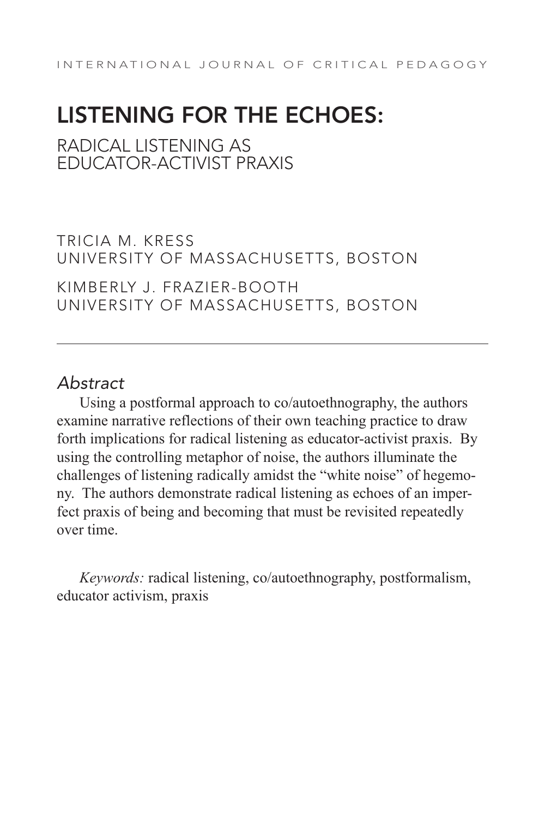# LISTENING FOR THE ECHOES:

RADICAL LISTENING AS EDUCATOR-ACTIVIST PRAXIS

TRICIA M. KRESS UNIVERSITY OF MASSACHUSETTS, BOSTON

KIMBERLY J. FRAZIER-BOOTH UNIVERSITY OF MASSACHUSETTS, BOSTON

## *Abstract*

Using a postformal approach to co/autoethnography, the authors examine narrative reflections of their own teaching practice to draw forth implications for radical listening as educator-activist praxis. By using the controlling metaphor of noise, the authors illuminate the challenges of listening radically amidst the "white noise" of hegemony. The authors demonstrate radical listening as echoes of an imperfect praxis of being and becoming that must be revisited repeatedly over time.

*Keywords:* radical listening, co/autoethnography, postformalism, educator activism, praxis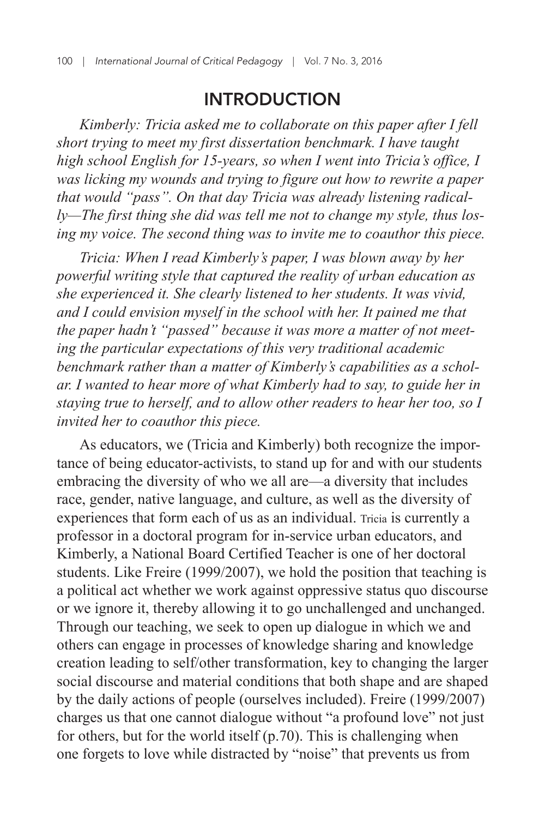### INTRODUCTION

*Kimberly: Tricia asked me to collaborate on this paper after I fell short trying to meet my first dissertation benchmark. I have taught high school English for 15-years, so when I went into Tricia's office, I was licking my wounds and trying to figure out how to rewrite a paper that would "pass". On that day Tricia was already listening radically—The first thing she did was tell me not to change my style, thus losing my voice. The second thing was to invite me to coauthor this piece.*

*Tricia: When I read Kimberly's paper, I was blown away by her powerful writing style that captured the reality of urban education as she experienced it. She clearly listened to her students. It was vivid, and I could envision myself in the school with her. It pained me that the paper hadn't "passed" because it was more a matter of not meeting the particular expectations of this very traditional academic benchmark rather than a matter of Kimberly's capabilities as a scholar. I wanted to hear more of what Kimberly had to say, to guide her in staying true to herself, and to allow other readers to hear her too, so I invited her to coauthor this piece.*

As educators, we (Tricia and Kimberly) both recognize the importance of being educator-activists, to stand up for and with our students embracing the diversity of who we all are—a diversity that includes race, gender, native language, and culture, as well as the diversity of experiences that form each of us as an individual. Tricia is currently a professor in a doctoral program for in-service urban educators, and Kimberly, a National Board Certified Teacher is one of her doctoral students. Like Freire (1999/2007), we hold the position that teaching is a political act whether we work against oppressive status quo discourse or we ignore it, thereby allowing it to go unchallenged and unchanged. Through our teaching, we seek to open up dialogue in which we and others can engage in processes of knowledge sharing and knowledge creation leading to self/other transformation, key to changing the larger social discourse and material conditions that both shape and are shaped by the daily actions of people (ourselves included). Freire (1999/2007) charges us that one cannot dialogue without "a profound love" not just for others, but for the world itself (p.70). This is challenging when one forgets to love while distracted by "noise" that prevents us from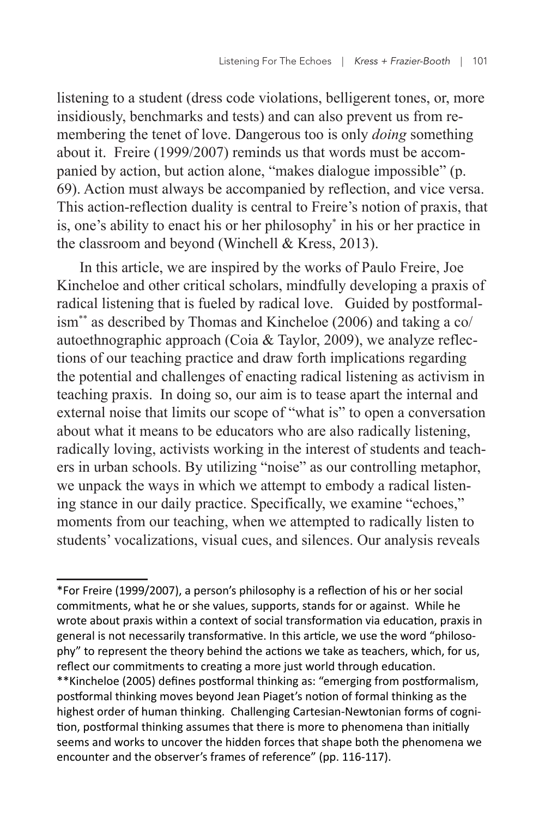listening to a student (dress code violations, belligerent tones, or, more insidiously, benchmarks and tests) and can also prevent us from remembering the tenet of love. Dangerous too is only *doing* something about it. Freire (1999/2007) reminds us that words must be accompanied by action, but action alone, "makes dialogue impossible" (p. 69). Action must always be accompanied by reflection, and vice versa. This action-reflection duality is central to Freire's notion of praxis, that is, one's ability to enact his or her philosophy\* in his or her practice in the classroom and beyond (Winchell & Kress, 2013).

In this article, we are inspired by the works of Paulo Freire, Joe Kincheloe and other critical scholars, mindfully developing a praxis of radical listening that is fueled by radical love. Guided by postformalism\*\* as described by Thomas and Kincheloe (2006) and taking a co/ autoethnographic approach (Coia & Taylor, 2009), we analyze reflections of our teaching practice and draw forth implications regarding the potential and challenges of enacting radical listening as activism in teaching praxis. In doing so, our aim is to tease apart the internal and external noise that limits our scope of "what is" to open a conversation about what it means to be educators who are also radically listening, radically loving, activists working in the interest of students and teachers in urban schools. By utilizing "noise" as our controlling metaphor, we unpack the ways in which we attempt to embody a radical listening stance in our daily practice. Specifically, we examine "echoes," moments from our teaching, when we attempted to radically listen to students' vocalizations, visual cues, and silences. Our analysis reveals

<sup>\*</sup>For Freire (1999/2007), a person's philosophy is a reflection of his or her social commitments, what he or she values, supports, stands for or against. While he wrote about praxis within a context of social transformation via education, praxis in general is not necessarily transformative. In this article, we use the word "philosophy" to represent the theory behind the actions we take as teachers, which, for us, reflect our commitments to creating a more just world through education. \*\*Kincheloe (2005) defines postformal thinking as: "emerging from postformalism, postformal thinking moves beyond Jean Piaget's notion of formal thinking as the highest order of human thinking. Challenging Cartesian-Newtonian forms of cognition, postformal thinking assumes that there is more to phenomena than initially seems and works to uncover the hidden forces that shape both the phenomena we encounter and the observer's frames of reference" (pp. 116-117).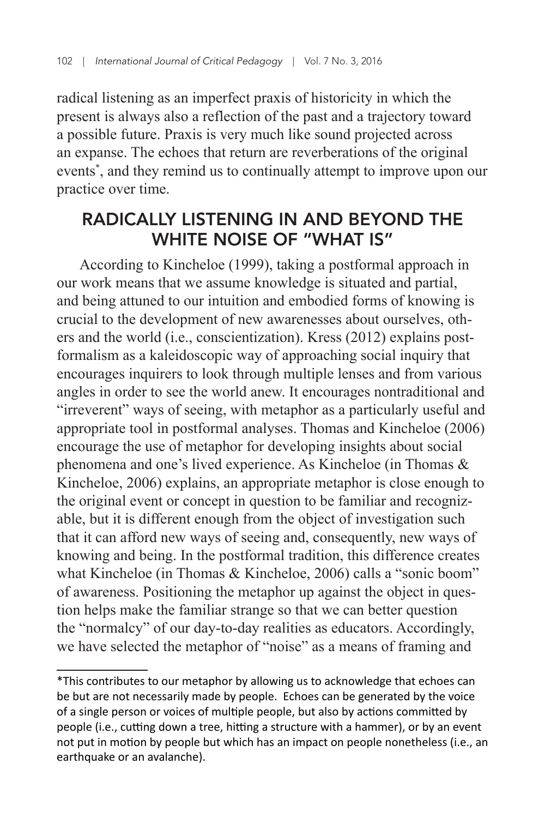radical listening as an imperfect praxis of historicity in which the present is always also a reflection of the past and a trajectory toward a possible future. Praxis is very much like sound projected across an expanse. The echoes that return are reverberations of the original events\* , and they remind us to continually attempt to improve upon our practice over time.

# RADICALLY LISTENING IN AND BEYOND THE WHITE NOISE OF "WHAT IS"

According to Kincheloe (1999), taking a postformal approach in our work means that we assume knowledge is situated and partial, and being attuned to our intuition and embodied forms of knowing is crucial to the development of new awarenesses about ourselves, others and the world (i.e., conscientization). Kress (2012) explains postformalism as a kaleidoscopic way of approaching social inquiry that encourages inquirers to look through multiple lenses and from various angles in order to see the world anew. It encourages nontraditional and "irreverent" ways of seeing, with metaphor as a particularly useful and appropriate tool in postformal analyses. Thomas and Kincheloe (2006) encourage the use of metaphor for developing insights about social phenomena and one's lived experience. As Kincheloe (in Thomas & Kincheloe, 2006) explains, an appropriate metaphor is close enough to the original event or concept in question to be familiar and recognizable, but it is different enough from the object of investigation such that it can afford new ways of seeing and, consequently, new ways of knowing and being. In the postformal tradition, this difference creates what Kincheloe (in Thomas & Kincheloe, 2006) calls a "sonic boom" of awareness. Positioning the metaphor up against the object in question helps make the familiar strange so that we can better question the "normalcy" of our day-to-day realities as educators. Accordingly, we have selected the metaphor of "noise" as a means of framing and

<sup>\*</sup>This contributes to our metaphor by allowing us to acknowledge that echoes can be but are not necessarily made by people. Echoes can be generated by the voice of a single person or voices of multiple people, but also by actions committed by people (i.e., cutting down a tree, hitting a structure with a hammer), or by an event not put in motion by people but which has an impact on people nonetheless (i.e., an earthquake or an avalanche).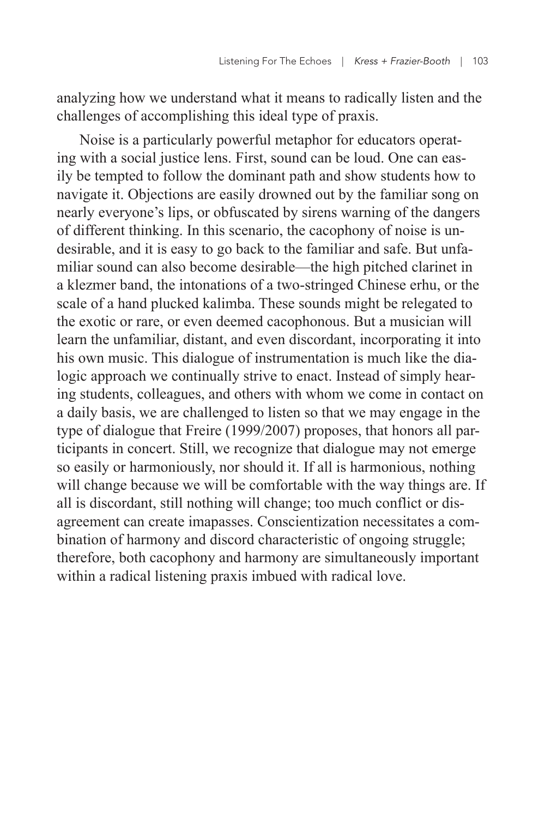analyzing how we understand what it means to radically listen and the challenges of accomplishing this ideal type of praxis.

Noise is a particularly powerful metaphor for educators operating with a social justice lens. First, sound can be loud. One can easily be tempted to follow the dominant path and show students how to navigate it. Objections are easily drowned out by the familiar song on nearly everyone's lips, or obfuscated by sirens warning of the dangers of different thinking. In this scenario, the cacophony of noise is undesirable, and it is easy to go back to the familiar and safe. But unfamiliar sound can also become desirable—the high pitched clarinet in a klezmer band, the intonations of a two-stringed Chinese erhu, or the scale of a hand plucked kalimba. These sounds might be relegated to the exotic or rare, or even deemed cacophonous. But a musician will learn the unfamiliar, distant, and even discordant, incorporating it into his own music. This dialogue of instrumentation is much like the dialogic approach we continually strive to enact. Instead of simply hearing students, colleagues, and others with whom we come in contact on a daily basis, we are challenged to listen so that we may engage in the type of dialogue that Freire (1999/2007) proposes, that honors all participants in concert. Still, we recognize that dialogue may not emerge so easily or harmoniously, nor should it. If all is harmonious, nothing will change because we will be comfortable with the way things are. If all is discordant, still nothing will change; too much conflict or disagreement can create imapasses. Conscientization necessitates a combination of harmony and discord characteristic of ongoing struggle; therefore, both cacophony and harmony are simultaneously important within a radical listening praxis imbued with radical love.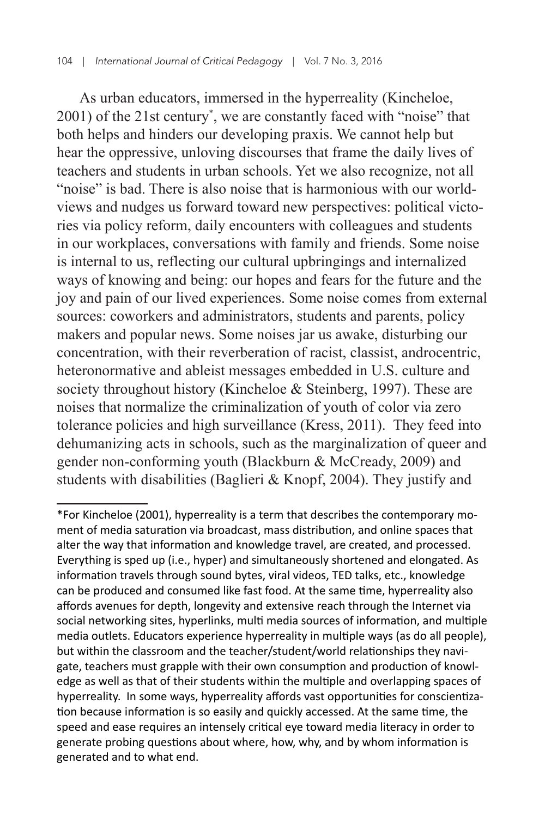As urban educators, immersed in the hyperreality (Kincheloe, 2001) of the 21st century\* , we are constantly faced with "noise" that both helps and hinders our developing praxis. We cannot help but hear the oppressive, unloving discourses that frame the daily lives of teachers and students in urban schools. Yet we also recognize, not all "noise" is bad. There is also noise that is harmonious with our worldviews and nudges us forward toward new perspectives: political victories via policy reform, daily encounters with colleagues and students in our workplaces, conversations with family and friends. Some noise is internal to us, reflecting our cultural upbringings and internalized ways of knowing and being: our hopes and fears for the future and the joy and pain of our lived experiences. Some noise comes from external sources: coworkers and administrators, students and parents, policy makers and popular news. Some noises jar us awake, disturbing our concentration, with their reverberation of racist, classist, androcentric, heteronormative and ableist messages embedded in U.S. culture and society throughout history (Kincheloe & Steinberg, 1997). These are noises that normalize the criminalization of youth of color via zero tolerance policies and high surveillance (Kress, 2011). They feed into dehumanizing acts in schools, such as the marginalization of queer and gender non-conforming youth (Blackburn & McCready, 2009) and students with disabilities (Baglieri & Knopf, 2004). They justify and

<sup>\*</sup>For Kincheloe (2001), hyperreality is a term that describes the contemporary moment of media saturation via broadcast, mass distribution, and online spaces that alter the way that information and knowledge travel, are created, and processed. Everything is sped up (i.e., hyper) and simultaneously shortened and elongated. As information travels through sound bytes, viral videos, TED talks, etc., knowledge can be produced and consumed like fast food. At the same time, hyperreality also affords avenues for depth, longevity and extensive reach through the Internet via social networking sites, hyperlinks, multi media sources of information, and multiple media outlets. Educators experience hyperreality in multiple ways (as do all people), but within the classroom and the teacher/student/world relationships they navigate, teachers must grapple with their own consumption and production of knowledge as well as that of their students within the multiple and overlapping spaces of hyperreality. In some ways, hyperreality affords vast opportunities for conscientization because information is so easily and quickly accessed. At the same time, the speed and ease requires an intensely critical eye toward media literacy in order to generate probing questions about where, how, why, and by whom information is generated and to what end.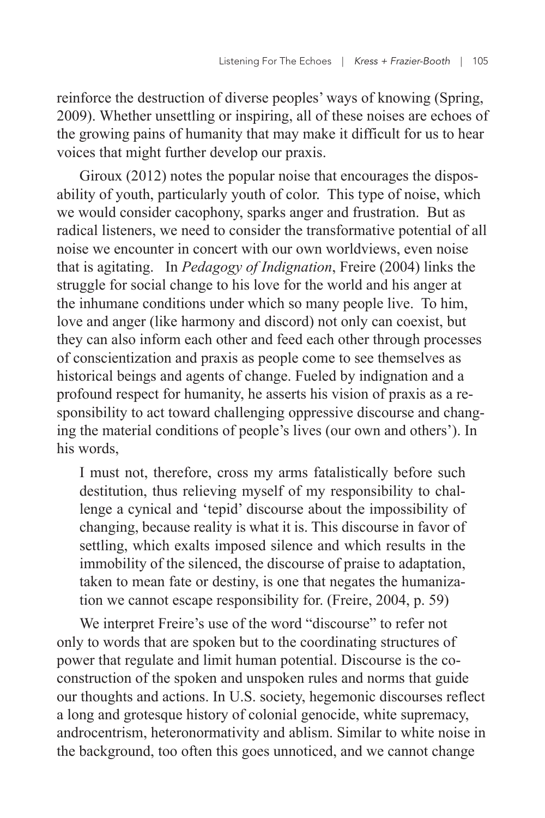reinforce the destruction of diverse peoples' ways of knowing (Spring, 2009). Whether unsettling or inspiring, all of these noises are echoes of the growing pains of humanity that may make it difficult for us to hear voices that might further develop our praxis.

Giroux (2012) notes the popular noise that encourages the disposability of youth, particularly youth of color. This type of noise, which we would consider cacophony, sparks anger and frustration. But as radical listeners, we need to consider the transformative potential of all noise we encounter in concert with our own worldviews, even noise that is agitating. In *Pedagogy of Indignation*, Freire (2004) links the struggle for social change to his love for the world and his anger at the inhumane conditions under which so many people live. To him, love and anger (like harmony and discord) not only can coexist, but they can also inform each other and feed each other through processes of conscientization and praxis as people come to see themselves as historical beings and agents of change. Fueled by indignation and a profound respect for humanity, he asserts his vision of praxis as a responsibility to act toward challenging oppressive discourse and changing the material conditions of people's lives (our own and others'). In his words,

I must not, therefore, cross my arms fatalistically before such destitution, thus relieving myself of my responsibility to challenge a cynical and 'tepid' discourse about the impossibility of changing, because reality is what it is. This discourse in favor of settling, which exalts imposed silence and which results in the immobility of the silenced, the discourse of praise to adaptation, taken to mean fate or destiny, is one that negates the humanization we cannot escape responsibility for. (Freire, 2004, p. 59)

We interpret Freire's use of the word "discourse" to refer not only to words that are spoken but to the coordinating structures of power that regulate and limit human potential. Discourse is the coconstruction of the spoken and unspoken rules and norms that guide our thoughts and actions. In U.S. society, hegemonic discourses reflect a long and grotesque history of colonial genocide, white supremacy, androcentrism, heteronormativity and ablism. Similar to white noise in the background, too often this goes unnoticed, and we cannot change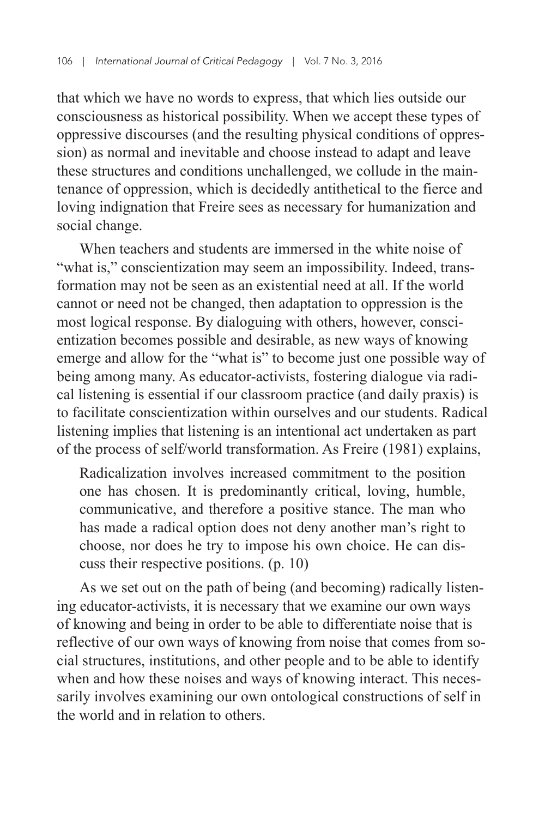that which we have no words to express, that which lies outside our consciousness as historical possibility. When we accept these types of oppressive discourses (and the resulting physical conditions of oppression) as normal and inevitable and choose instead to adapt and leave these structures and conditions unchallenged, we collude in the maintenance of oppression, which is decidedly antithetical to the fierce and loving indignation that Freire sees as necessary for humanization and social change.

When teachers and students are immersed in the white noise of "what is," conscientization may seem an impossibility. Indeed, transformation may not be seen as an existential need at all. If the world cannot or need not be changed, then adaptation to oppression is the most logical response. By dialoguing with others, however, conscientization becomes possible and desirable, as new ways of knowing emerge and allow for the "what is" to become just one possible way of being among many. As educator-activists, fostering dialogue via radical listening is essential if our classroom practice (and daily praxis) is to facilitate conscientization within ourselves and our students. Radical listening implies that listening is an intentional act undertaken as part of the process of self/world transformation. As Freire (1981) explains,

Radicalization involves increased commitment to the position one has chosen. It is predominantly critical, loving, humble, communicative, and therefore a positive stance. The man who has made a radical option does not deny another man's right to choose, nor does he try to impose his own choice. He can discuss their respective positions. (p. 10)

As we set out on the path of being (and becoming) radically listening educator-activists, it is necessary that we examine our own ways of knowing and being in order to be able to differentiate noise that is reflective of our own ways of knowing from noise that comes from social structures, institutions, and other people and to be able to identify when and how these noises and ways of knowing interact. This necessarily involves examining our own ontological constructions of self in the world and in relation to others.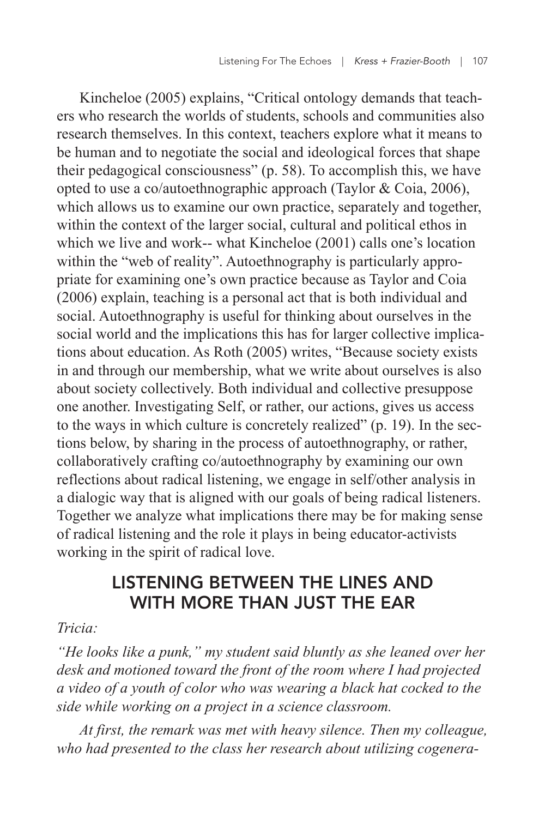Kincheloe (2005) explains, "Critical ontology demands that teachers who research the worlds of students, schools and communities also research themselves. In this context, teachers explore what it means to be human and to negotiate the social and ideological forces that shape their pedagogical consciousness" (p. 58). To accomplish this, we have opted to use a co/autoethnographic approach (Taylor & Coia, 2006), which allows us to examine our own practice, separately and together, within the context of the larger social, cultural and political ethos in which we live and work-- what Kincheloe (2001) calls one's location within the "web of reality". Autoethnography is particularly appropriate for examining one's own practice because as Taylor and Coia (2006) explain, teaching is a personal act that is both individual and social. Autoethnography is useful for thinking about ourselves in the social world and the implications this has for larger collective implications about education. As Roth (2005) writes, "Because society exists in and through our membership, what we write about ourselves is also about society collectively. Both individual and collective presuppose one another. Investigating Self, or rather, our actions, gives us access to the ways in which culture is concretely realized" (p. 19). In the sections below, by sharing in the process of autoethnography, or rather, collaboratively crafting co/autoethnography by examining our own reflections about radical listening, we engage in self/other analysis in a dialogic way that is aligned with our goals of being radical listeners. Together we analyze what implications there may be for making sense of radical listening and the role it plays in being educator-activists working in the spirit of radical love.

# LISTENING BETWEEN THE LINES AND WITH MORE THAN JUST THE EAR

#### *Tricia:*

*"He looks like a punk," my student said bluntly as she leaned over her desk and motioned toward the front of the room where I had projected a video of a youth of color who was wearing a black hat cocked to the side while working on a project in a science classroom.*

*At first, the remark was met with heavy silence. Then my colleague, who had presented to the class her research about utilizing cogenera-*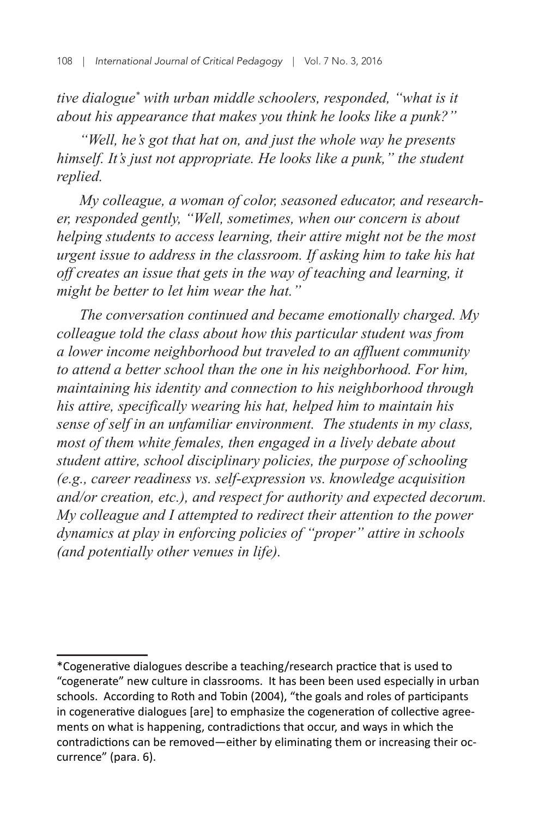tive dialogue<sup>\*</sup> with urban middle schoolers, responded, "what is it *about his appearance that makes you think he looks like a punk?"*

*"Well, he's got that hat on, and just the whole way he presents himself. It's just not appropriate. He looks like a punk," the student replied.*

*My colleague, a woman of color, seasoned educator, and researcher, responded gently, "Well, sometimes, when our concern is about helping students to access learning, their attire might not be the most urgent issue to address in the classroom. If asking him to take his hat off creates an issue that gets in the way of teaching and learning, it might be better to let him wear the hat."*

*The conversation continued and became emotionally charged. My colleague told the class about how this particular student was from a lower income neighborhood but traveled to an affluent community to attend a better school than the one in his neighborhood. For him, maintaining his identity and connection to his neighborhood through his attire, specifically wearing his hat, helped him to maintain his sense of self in an unfamiliar environment. The students in my class, most of them white females, then engaged in a lively debate about student attire, school disciplinary policies, the purpose of schooling (e.g., career readiness vs. self-expression vs. knowledge acquisition and/or creation, etc.), and respect for authority and expected decorum. My colleague and I attempted to redirect their attention to the power dynamics at play in enforcing policies of "proper" attire in schools (and potentially other venues in life).*

<sup>\*</sup>Cogenerative dialogues describe a teaching/research practice that is used to "cogenerate" new culture in classrooms. It has been been used especially in urban schools. According to Roth and Tobin (2004), "the goals and roles of participants in cogenerative dialogues [are] to emphasize the cogeneration of collective agreements on what is happening, contradictions that occur, and ways in which the contradictions can be removed—either by eliminating them or increasing their occurrence" (para. 6).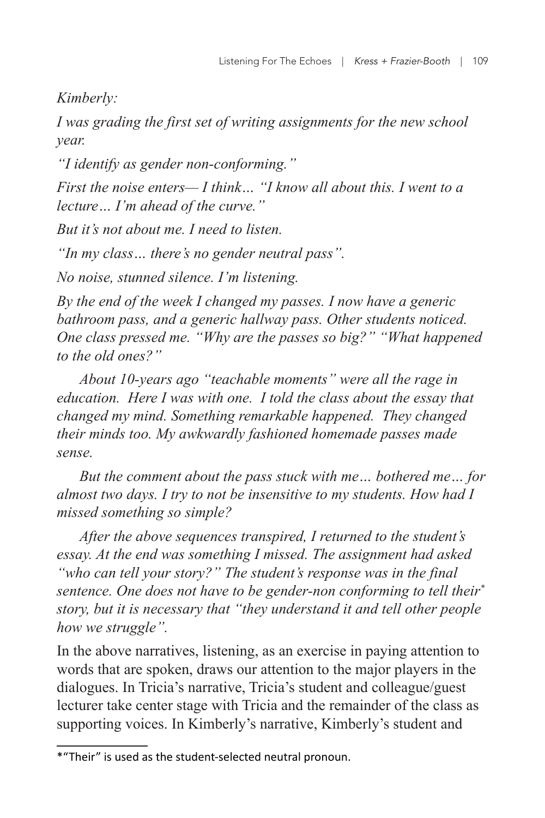*Kimberly:*

*I was grading the first set of writing assignments for the new school year.*

*"I identify as gender non-conforming."*

*First the noise enters— I think… "I know all about this. I went to a lecture… I'm ahead of the curve."*

*But it's not about me. I need to listen.*

*"In my class… there's no gender neutral pass".*

*No noise, stunned silence. I'm listening.*

*By the end of the week I changed my passes. I now have a generic bathroom pass, and a generic hallway pass. Other students noticed. One class pressed me. "Why are the passes so big?" "What happened to the old ones?"*

*About 10-years ago "teachable moments" were all the rage in education. Here I was with one. I told the class about the essay that changed my mind. Something remarkable happened. They changed their minds too. My awkwardly fashioned homemade passes made sense.*

*But the comment about the pass stuck with me… bothered me… for almost two days. I try to not be insensitive to my students. How had I missed something so simple?* 

*After the above sequences transpired, I returned to the student's essay. At the end was something I missed. The assignment had asked "who can tell your story?" The student's response was in the final sentence. One does not have to be gender-non conforming to tell their\* story, but it is necessary that "they understand it and tell other people how we struggle".*

In the above narratives, listening, as an exercise in paying attention to words that are spoken, draws our attention to the major players in the dialogues. In Tricia's narrative, Tricia's student and colleague/guest lecturer take center stage with Tricia and the remainder of the class as supporting voices. In Kimberly's narrative, Kimberly's student and

<sup>\*&</sup>quot;Their" is used as the student-selected neutral pronoun.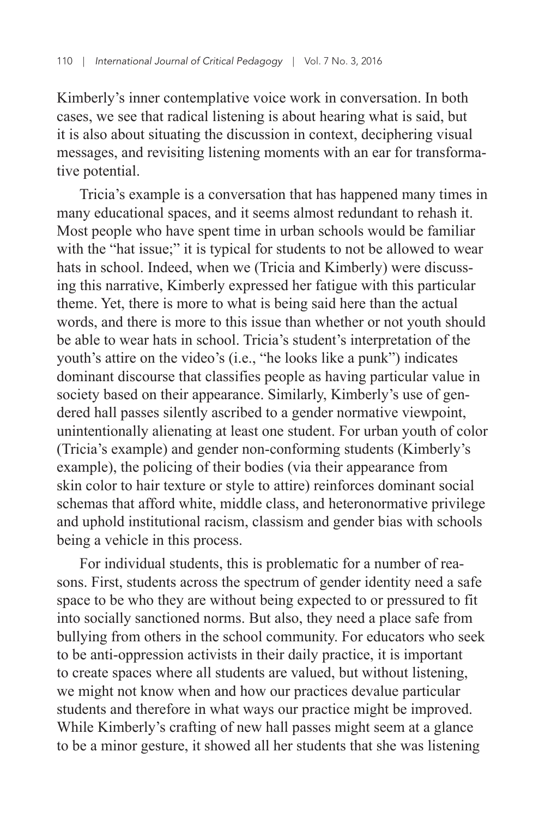Kimberly's inner contemplative voice work in conversation. In both cases, we see that radical listening is about hearing what is said, but it is also about situating the discussion in context, deciphering visual messages, and revisiting listening moments with an ear for transformative potential.

Tricia's example is a conversation that has happened many times in many educational spaces, and it seems almost redundant to rehash it. Most people who have spent time in urban schools would be familiar with the "hat issue;" it is typical for students to not be allowed to wear hats in school. Indeed, when we (Tricia and Kimberly) were discussing this narrative, Kimberly expressed her fatigue with this particular theme. Yet, there is more to what is being said here than the actual words, and there is more to this issue than whether or not youth should be able to wear hats in school. Tricia's student's interpretation of the youth's attire on the video's (i.e., "he looks like a punk") indicates dominant discourse that classifies people as having particular value in society based on their appearance. Similarly, Kimberly's use of gendered hall passes silently ascribed to a gender normative viewpoint, unintentionally alienating at least one student. For urban youth of color (Tricia's example) and gender non-conforming students (Kimberly's example), the policing of their bodies (via their appearance from skin color to hair texture or style to attire) reinforces dominant social schemas that afford white, middle class, and heteronormative privilege and uphold institutional racism, classism and gender bias with schools being a vehicle in this process.

For individual students, this is problematic for a number of reasons. First, students across the spectrum of gender identity need a safe space to be who they are without being expected to or pressured to fit into socially sanctioned norms. But also, they need a place safe from bullying from others in the school community. For educators who seek to be anti-oppression activists in their daily practice, it is important to create spaces where all students are valued, but without listening, we might not know when and how our practices devalue particular students and therefore in what ways our practice might be improved. While Kimberly's crafting of new hall passes might seem at a glance to be a minor gesture, it showed all her students that she was listening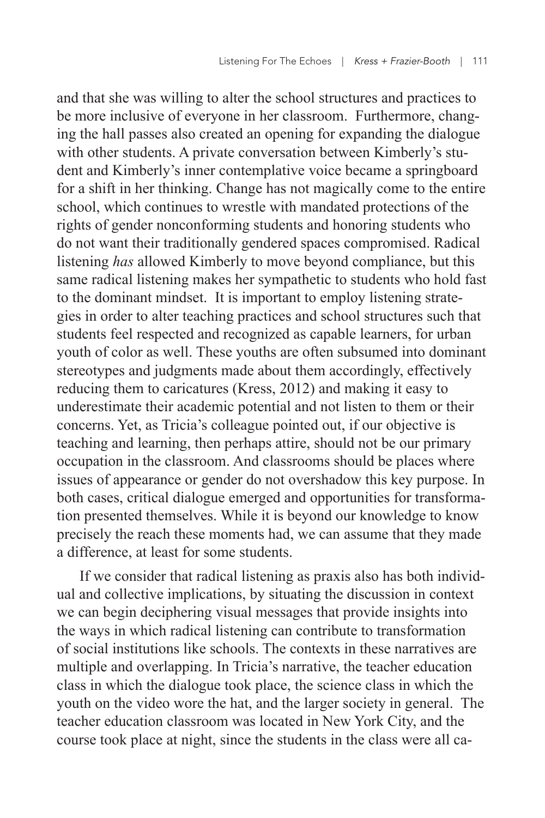and that she was willing to alter the school structures and practices to be more inclusive of everyone in her classroom. Furthermore, changing the hall passes also created an opening for expanding the dialogue with other students. A private conversation between Kimberly's student and Kimberly's inner contemplative voice became a springboard for a shift in her thinking. Change has not magically come to the entire school, which continues to wrestle with mandated protections of the rights of gender nonconforming students and honoring students who do not want their traditionally gendered spaces compromised. Radical listening *has* allowed Kimberly to move beyond compliance, but this same radical listening makes her sympathetic to students who hold fast to the dominant mindset. It is important to employ listening strategies in order to alter teaching practices and school structures such that students feel respected and recognized as capable learners, for urban youth of color as well. These youths are often subsumed into dominant stereotypes and judgments made about them accordingly, effectively reducing them to caricatures (Kress, 2012) and making it easy to underestimate their academic potential and not listen to them or their concerns. Yet, as Tricia's colleague pointed out, if our objective is teaching and learning, then perhaps attire, should not be our primary occupation in the classroom. And classrooms should be places where issues of appearance or gender do not overshadow this key purpose. In both cases, critical dialogue emerged and opportunities for transformation presented themselves. While it is beyond our knowledge to know precisely the reach these moments had, we can assume that they made a difference, at least for some students.

If we consider that radical listening as praxis also has both individual and collective implications, by situating the discussion in context we can begin deciphering visual messages that provide insights into the ways in which radical listening can contribute to transformation of social institutions like schools. The contexts in these narratives are multiple and overlapping. In Tricia's narrative, the teacher education class in which the dialogue took place, the science class in which the youth on the video wore the hat, and the larger society in general. The teacher education classroom was located in New York City, and the course took place at night, since the students in the class were all ca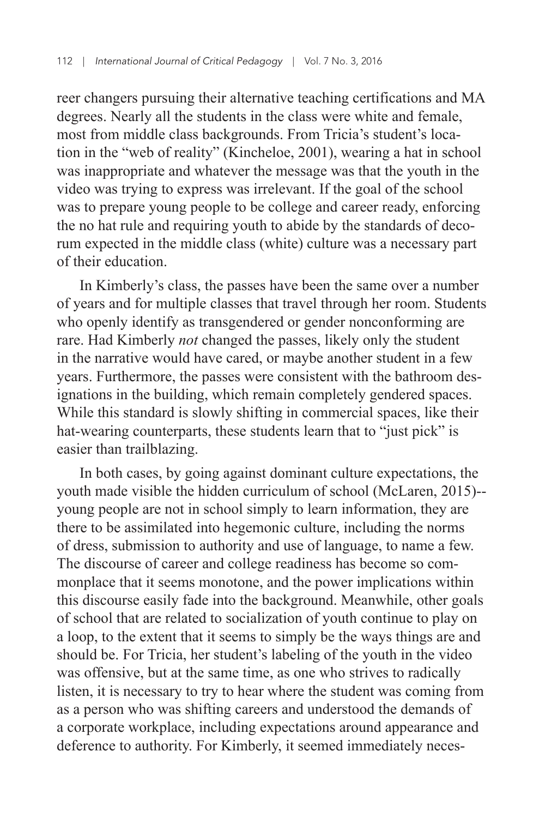reer changers pursuing their alternative teaching certifications and MA degrees. Nearly all the students in the class were white and female, most from middle class backgrounds. From Tricia's student's location in the "web of reality" (Kincheloe, 2001), wearing a hat in school was inappropriate and whatever the message was that the youth in the video was trying to express was irrelevant. If the goal of the school was to prepare young people to be college and career ready, enforcing the no hat rule and requiring youth to abide by the standards of decorum expected in the middle class (white) culture was a necessary part of their education.

In Kimberly's class, the passes have been the same over a number of years and for multiple classes that travel through her room. Students who openly identify as transgendered or gender nonconforming are rare. Had Kimberly *not* changed the passes, likely only the student in the narrative would have cared, or maybe another student in a few years. Furthermore, the passes were consistent with the bathroom designations in the building, which remain completely gendered spaces. While this standard is slowly shifting in commercial spaces, like their hat-wearing counterparts, these students learn that to "just pick" is easier than trailblazing.

In both cases, by going against dominant culture expectations, the youth made visible the hidden curriculum of school (McLaren, 2015)- young people are not in school simply to learn information, they are there to be assimilated into hegemonic culture, including the norms of dress, submission to authority and use of language, to name a few. The discourse of career and college readiness has become so commonplace that it seems monotone, and the power implications within this discourse easily fade into the background. Meanwhile, other goals of school that are related to socialization of youth continue to play on a loop, to the extent that it seems to simply be the ways things are and should be. For Tricia, her student's labeling of the youth in the video was offensive, but at the same time, as one who strives to radically listen, it is necessary to try to hear where the student was coming from as a person who was shifting careers and understood the demands of a corporate workplace, including expectations around appearance and deference to authority. For Kimberly, it seemed immediately neces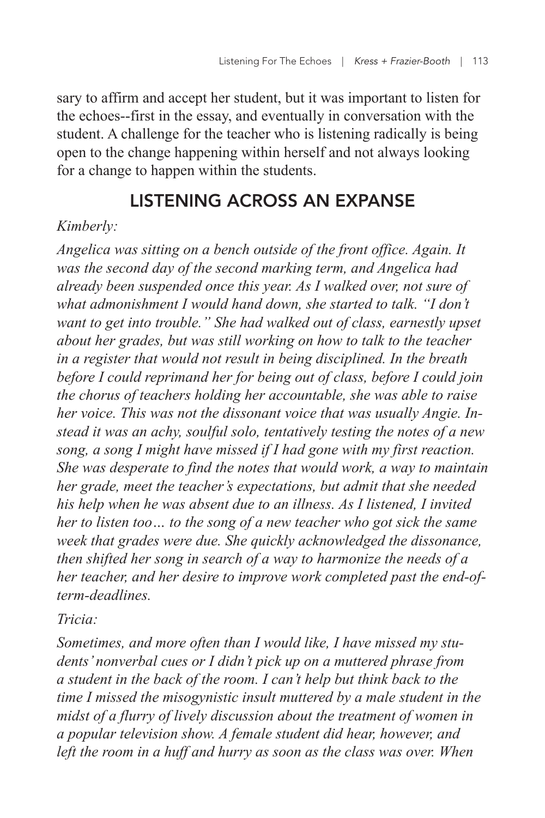sary to affirm and accept her student, but it was important to listen for the echoes--first in the essay, and eventually in conversation with the student. A challenge for the teacher who is listening radically is being open to the change happening within herself and not always looking for a change to happen within the students.

# LISTENING ACROSS AN EXPANSE

#### *Kimberly:*

*Angelica was sitting on a bench outside of the front office. Again. It was the second day of the second marking term, and Angelica had already been suspended once this year. As I walked over, not sure of what admonishment I would hand down, she started to talk. "I don't want to get into trouble." She had walked out of class, earnestly upset about her grades, but was still working on how to talk to the teacher in a register that would not result in being disciplined. In the breath before I could reprimand her for being out of class, before I could join the chorus of teachers holding her accountable, she was able to raise her voice. This was not the dissonant voice that was usually Angie. Instead it was an achy, soulful solo, tentatively testing the notes of a new song, a song I might have missed if I had gone with my first reaction. She was desperate to find the notes that would work, a way to maintain her grade, meet the teacher's expectations, but admit that she needed his help when he was absent due to an illness. As I listened, I invited her to listen too… to the song of a new teacher who got sick the same week that grades were due. She quickly acknowledged the dissonance, then shifted her song in search of a way to harmonize the needs of a her teacher, and her desire to improve work completed past the end-ofterm-deadlines.*

*Tricia:*

*Sometimes, and more often than I would like, I have missed my students' nonverbal cues or I didn't pick up on a muttered phrase from a student in the back of the room. I can't help but think back to the time I missed the misogynistic insult muttered by a male student in the midst of a flurry of lively discussion about the treatment of women in a popular television show. A female student did hear, however, and left the room in a huff and hurry as soon as the class was over. When*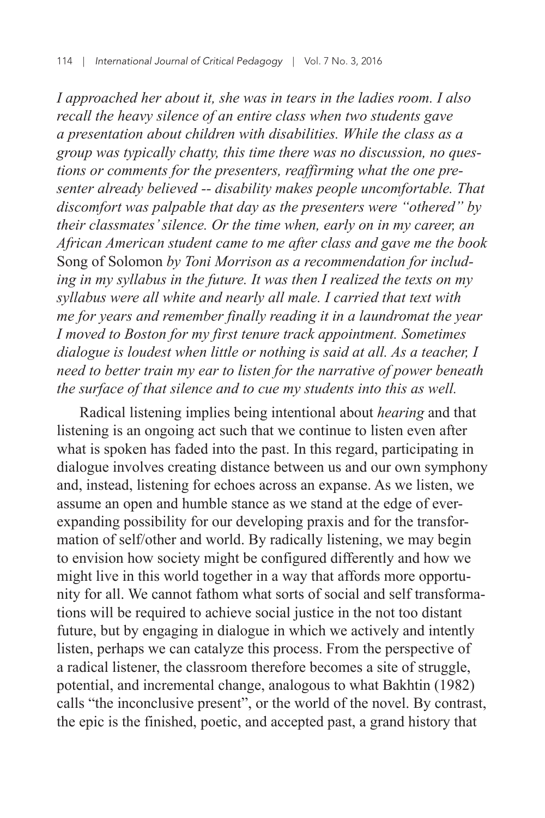*I approached her about it, she was in tears in the ladies room. I also recall the heavy silence of an entire class when two students gave a presentation about children with disabilities. While the class as a group was typically chatty, this time there was no discussion, no questions or comments for the presenters, reaffirming what the one presenter already believed -- disability makes people uncomfortable. That discomfort was palpable that day as the presenters were "othered" by their classmates' silence. Or the time when, early on in my career, an African American student came to me after class and gave me the book*  Song of Solomon *by Toni Morrison as a recommendation for including in my syllabus in the future. It was then I realized the texts on my syllabus were all white and nearly all male. I carried that text with me for years and remember finally reading it in a laundromat the year I moved to Boston for my first tenure track appointment. Sometimes dialogue is loudest when little or nothing is said at all. As a teacher, I need to better train my ear to listen for the narrative of power beneath the surface of that silence and to cue my students into this as well.*

Radical listening implies being intentional about *hearing* and that listening is an ongoing act such that we continue to listen even after what is spoken has faded into the past. In this regard, participating in dialogue involves creating distance between us and our own symphony and, instead, listening for echoes across an expanse. As we listen, we assume an open and humble stance as we stand at the edge of everexpanding possibility for our developing praxis and for the transformation of self/other and world. By radically listening, we may begin to envision how society might be configured differently and how we might live in this world together in a way that affords more opportunity for all. We cannot fathom what sorts of social and self transformations will be required to achieve social justice in the not too distant future, but by engaging in dialogue in which we actively and intently listen, perhaps we can catalyze this process. From the perspective of a radical listener, the classroom therefore becomes a site of struggle, potential, and incremental change, analogous to what Bakhtin (1982) calls "the inconclusive present", or the world of the novel. By contrast, the epic is the finished, poetic, and accepted past, a grand history that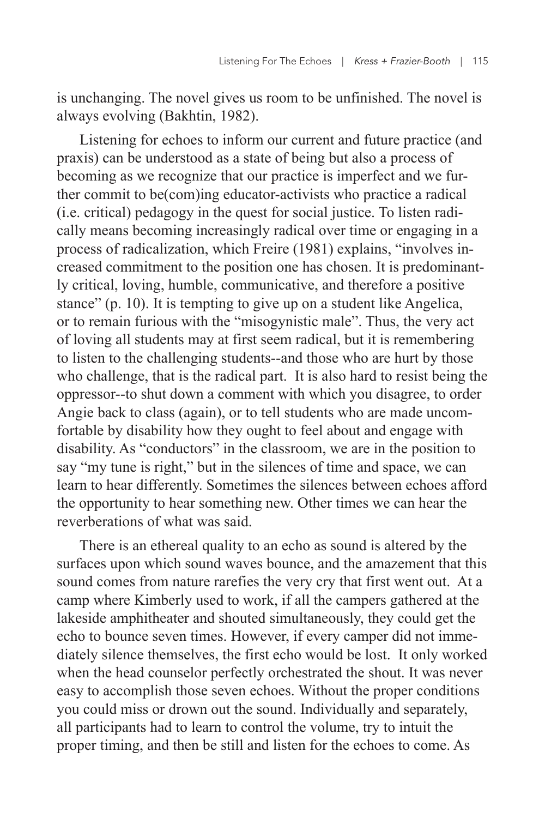is unchanging. The novel gives us room to be unfinished. The novel is always evolving (Bakhtin, 1982).

Listening for echoes to inform our current and future practice (and praxis) can be understood as a state of being but also a process of becoming as we recognize that our practice is imperfect and we further commit to be(com)ing educator-activists who practice a radical (i.e. critical) pedagogy in the quest for social justice. To listen radically means becoming increasingly radical over time or engaging in a process of radicalization, which Freire (1981) explains, "involves increased commitment to the position one has chosen. It is predominantly critical, loving, humble, communicative, and therefore a positive stance" (p. 10). It is tempting to give up on a student like Angelica, or to remain furious with the "misogynistic male". Thus, the very act of loving all students may at first seem radical, but it is remembering to listen to the challenging students--and those who are hurt by those who challenge, that is the radical part. It is also hard to resist being the oppressor--to shut down a comment with which you disagree, to order Angie back to class (again), or to tell students who are made uncomfortable by disability how they ought to feel about and engage with disability. As "conductors" in the classroom, we are in the position to say "my tune is right," but in the silences of time and space, we can learn to hear differently. Sometimes the silences between echoes afford the opportunity to hear something new. Other times we can hear the reverberations of what was said.

There is an ethereal quality to an echo as sound is altered by the surfaces upon which sound waves bounce, and the amazement that this sound comes from nature rarefies the very cry that first went out. At a camp where Kimberly used to work, if all the campers gathered at the lakeside amphitheater and shouted simultaneously, they could get the echo to bounce seven times. However, if every camper did not immediately silence themselves, the first echo would be lost. It only worked when the head counselor perfectly orchestrated the shout. It was never easy to accomplish those seven echoes. Without the proper conditions you could miss or drown out the sound. Individually and separately, all participants had to learn to control the volume, try to intuit the proper timing, and then be still and listen for the echoes to come. As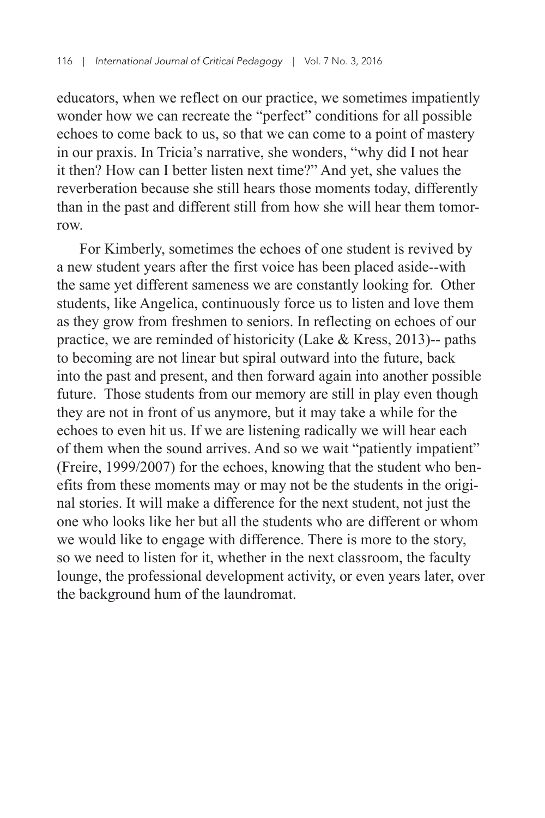educators, when we reflect on our practice, we sometimes impatiently wonder how we can recreate the "perfect" conditions for all possible echoes to come back to us, so that we can come to a point of mastery in our praxis. In Tricia's narrative, she wonders, "why did I not hear it then? How can I better listen next time?" And yet, she values the reverberation because she still hears those moments today, differently than in the past and different still from how she will hear them tomorrow.

For Kimberly, sometimes the echoes of one student is revived by a new student years after the first voice has been placed aside--with the same yet different sameness we are constantly looking for. Other students, like Angelica, continuously force us to listen and love them as they grow from freshmen to seniors. In reflecting on echoes of our practice, we are reminded of historicity (Lake & Kress, 2013)-- paths to becoming are not linear but spiral outward into the future, back into the past and present, and then forward again into another possible future. Those students from our memory are still in play even though they are not in front of us anymore, but it may take a while for the echoes to even hit us. If we are listening radically we will hear each of them when the sound arrives. And so we wait "patiently impatient" (Freire, 1999/2007) for the echoes, knowing that the student who benefits from these moments may or may not be the students in the original stories. It will make a difference for the next student, not just the one who looks like her but all the students who are different or whom we would like to engage with difference. There is more to the story, so we need to listen for it, whether in the next classroom, the faculty lounge, the professional development activity, or even years later, over the background hum of the laundromat.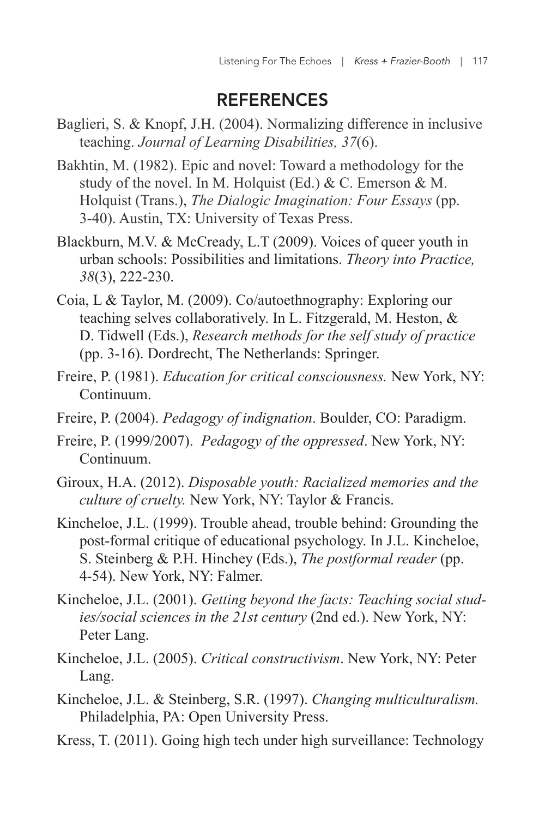### REFERENCES

- Baglieri, S. & Knopf, J.H. (2004). Normalizing difference in inclusive teaching. *Journal of Learning Disabilities, 37*(6).
- Bakhtin, M. (1982). Epic and novel: Toward a methodology for the study of the novel. In M. Holquist (Ed.) & C. Emerson & M. Holquist (Trans.), *The Dialogic Imagination: Four Essays* (pp. 3-40). Austin, TX: University of Texas Press.
- Blackburn, M.V. & McCready, L.T (2009). Voices of queer youth in urban schools: Possibilities and limitations. *Theory into Practice, 38*(3), 222-230.
- Coia, L & Taylor, M. (2009). Co/autoethnography: Exploring our teaching selves collaboratively. In L. Fitzgerald, M. Heston, & D. Tidwell (Eds.), *Research methods for the self study of practice* (pp. 3-16). Dordrecht, The Netherlands: Springer.
- Freire, P. (1981). *Education for critical consciousness.* New York, NY: Continuum.
- Freire, P. (2004). *Pedagogy of indignation*. Boulder, CO: Paradigm.
- Freire, P. (1999/2007). *Pedagogy of the oppressed*. New York, NY: Continuum.
- Giroux, H.A. (2012). *Disposable youth: Racialized memories and the culture of cruelty.* New York, NY: Taylor & Francis.
- Kincheloe, J.L. (1999). Trouble ahead, trouble behind: Grounding the post-formal critique of educational psychology. In J.L. Kincheloe, S. Steinberg & P.H. Hinchey (Eds.), *The postformal reader* (pp. 4-54). New York, NY: Falmer.
- Kincheloe, J.L. (2001). *Getting beyond the facts: Teaching social studies/social sciences in the 21st century* (2nd ed.). New York, NY: Peter Lang.
- Kincheloe, J.L. (2005). *Critical constructivism*. New York, NY: Peter Lang.
- Kincheloe, J.L. & Steinberg, S.R. (1997). *Changing multiculturalism.* Philadelphia, PA: Open University Press.
- Kress, T. (2011). Going high tech under high surveillance: Technology